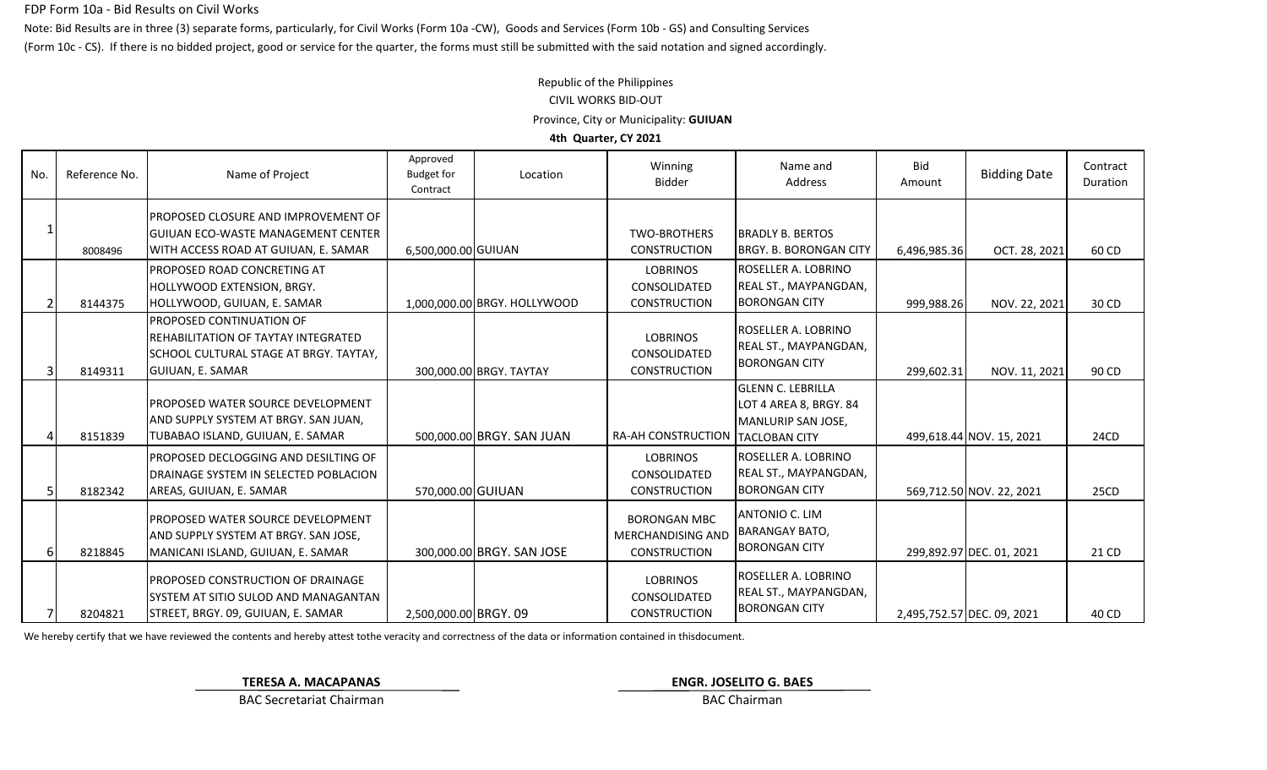#### FDP Form 10a - Bid Results on Civil Works

Note: Bid Results are in three (3) separate forms, particularly, for Civil Works (Form 10a -CW), Goods and Services (Form 10b - GS) and Consulting Services (Form 10c - CS). If there is no bidded project, good or service for the quarter, the forms must still be submitted with the said notation and signed accordingly.

# Republic of the Philippines CIVIL WORKS BID-OUT Province, City or Municipality: **GUIUAN 4th Quarter, CY 2021**

1 8008496 PROPOSED CLOSURE AND IMPROVEMENT OF GUIUAN ECO-WASTE MANAGEMENT CENTER WITH ACCESS ROAD AT GUIUAN, E. SAMAR | 6,500,000.00 GUIUAN TWO-BROTHERS CONSTRUCTION BRADLY B. BERTOS BRGY. B. BORONGAN CITY | 6,496,985.36 | OCT. 28, 2021 | 60 CD 2 8144375 PROPOSED ROAD CONCRETING AT HOLLYWOOD EXTENSION, BRGY. HOLLYWOOD, GUIUAN, E. SAMAR 1,000,000.00 BRGY. HOLLYWOOD LOBRINOS CONSOLIDATED CONSTRUCTION ROSELLER A. LOBRINO REAL ST., MAYPANGDAN, BORONGAN CITY | 999,988.26 NOV. 22, 2021 30 CD 3 8149311 PROPOSED CONTINUATION OF REHABILITATION OF TAYTAY INTEGRATED SCHOOL CULTURAL STAGE AT BRGY. TAYTAY, GUIUAN, E. SAMAR 300,000.00 BRGY. TAYTAY **LOBRINOS** CONSOLIDATED CONSTRUCTION ROSELLER A. LOBRINO REAL ST., MAYPANGDAN, BORONGAN CITY 299,602.31 NOV. 11, 2021 90 CD 8151839 PROPOSED WATER SOURCE DEVELOPMENT AND SUPPLY SYSTEM AT BRGY. SAN JUAN, TUBABAO ISLAND, GUIUAN, E. SAMAR 500,000.00 BRGY. SAN JUAN RA-AH CONSTRUCTION GLENN C. LEBRILLA LOT 4 AREA 8, BRGY. 84 MANLURIP SAN JOSE, TACLOBAN CITY 499,618.44 NOV. 15, 2021 24CD 5 8182342 PROPOSED DECLOGGING AND DESILTING OF DRAINAGE SYSTEM IN SELECTED POBLACION AREAS, GUIUAN, E. SAMAR 570,000.00 GUIUAN LOBRINOS CONSOLIDATED CONSTRUCTION ROSELLER A. LOBRINO REAL ST., MAYPANGDAN, BORONGAN CITY | 569,712.50 NOV. 22, 2021 | 25CD 6 8218845 PROPOSED WATER SOURCE DEVELOPMENT AND SUPPLY SYSTEM AT BRGY. SAN JOSE, MANICANI ISLAND, GUIUAN, E. SAMAR 300,000.00 BRGY. SAN JOSE BORONGAN MBC MERCHANDISING AND CONSTRUCTION ANTONIO C. LIM BARANGAY BATO, BORONGAN CITY 299,892.97 DEC. 01, 2021 21 CD 8204821 PROPOSED CONSTRUCTION OF DRAINAGE SYSTEM AT SITIO SULOD AND MANAGANTAN STREET, BRGY. 09, GUIUAN, E. SAMAR 2,500,000.00 BRGY. 09 LOBRINOS CONSOLIDATED CONSTRUCTION ROSELLER A. LOBRINO REAL ST., MAYPANGDAN, BORONGAN CITY 2,495,752.57 DEC. 09, 2021 40 CD No. Reference No. Name of Project Approved Budget for Contract Location Winning Bidder Bid Amount Bidding Date Contract Duration Name and Address

We hereby certify that we have reviewed the contents and hereby attest tothe veracity and correctness of the data or information contained in this document.

**TERESA A. MACAPANAS ENGR. JOSELITO G. BAES**

BAC Secretariat Chairman BAC Chairman BAC Chairman BAC Chairman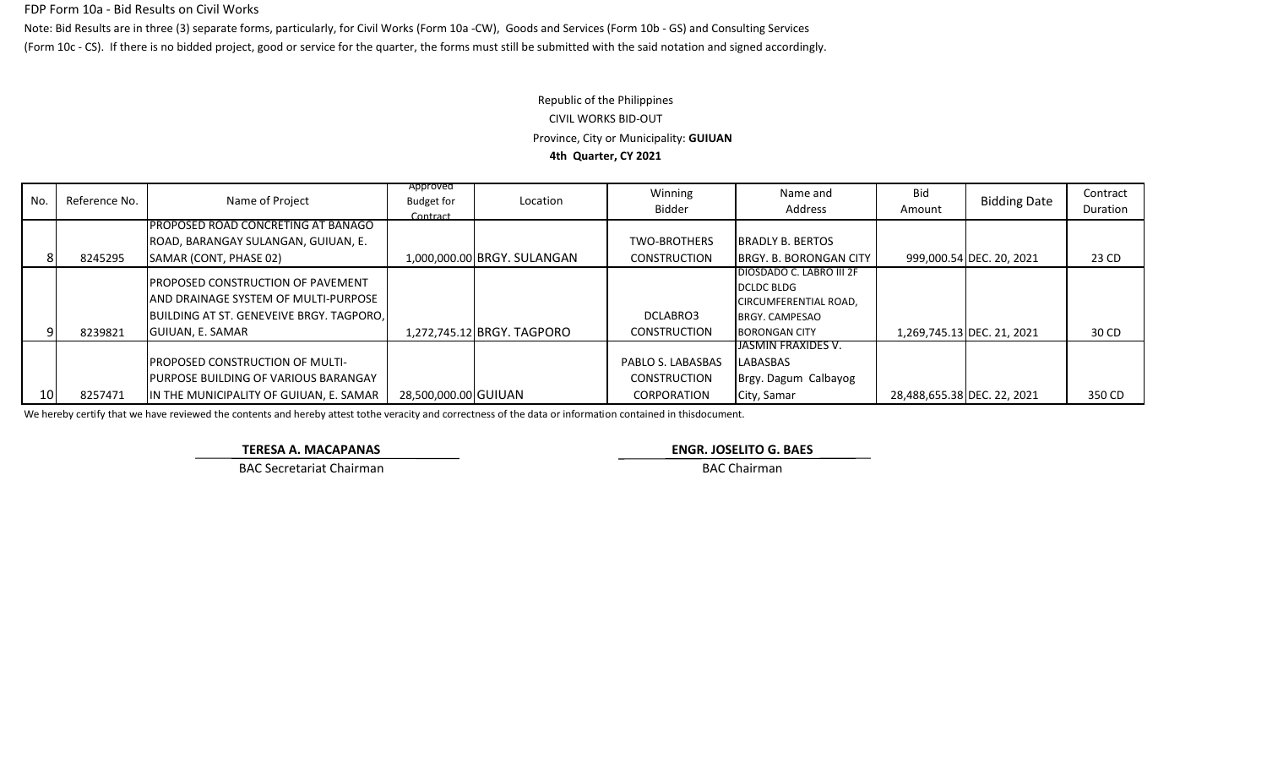### FDP Form 10a - Bid Results on Civil Works

Note: Bid Results are in three (3) separate forms, particularly, for Civil Works (Form 10a -CW), Goods and Services (Form 10b - GS) and Consulting Services (Form 10c - CS). If there is no bidded project, good or service for the quarter, the forms must still be submitted with the said notation and signed accordingly.

# Republic of the Philippines CIVIL WORKS BID-OUT Province, City or Municipality: **GUIUAN 4th Quarter, CY 2021**

| No.    | Reference No. | Name of Project                                                                                                                                           | Approved<br><b>Budget for</b><br>Contract | Location                    | Winning<br>Bidder                                              | Name and<br>Address                                                                                                            | Bid<br>Amount               | <b>Bidding Date</b>        | Contract<br>Duration |
|--------|---------------|-----------------------------------------------------------------------------------------------------------------------------------------------------------|-------------------------------------------|-----------------------------|----------------------------------------------------------------|--------------------------------------------------------------------------------------------------------------------------------|-----------------------------|----------------------------|----------------------|
|        |               | <b>PROPOSED ROAD CONCRETING AT BANAGO</b>                                                                                                                 |                                           |                             |                                                                |                                                                                                                                |                             |                            |                      |
|        |               | ROAD, BARANGAY SULANGAN, GUIUAN, E.                                                                                                                       |                                           |                             | <b>TWO-BROTHERS</b>                                            | <b>IBRADLY B. BERTOS</b>                                                                                                       |                             |                            |                      |
|        | 8245295       | SAMAR (CONT, PHASE 02)                                                                                                                                    |                                           | 1,000,000.00 BRGY. SULANGAN | <b>CONSTRUCTION</b>                                            | <b>IBRGY. B. BORONGAN CITY  </b>                                                                                               |                             | 999,000.54 DEC. 20, 2021   | 23 CD                |
|        | 8239821       | <b>IPROPOSED CONSTRUCTION OF PAVEMENT</b><br>LAND DRAINAGE SYSTEM OF MULTI-PURPOSE<br>BUILDING AT ST. GENEVEIVE BRGY. TAGPORO.<br><b>GUIUAN, E. SAMAR</b> |                                           | 1,272,745.12 BRGY. TAGPORO  | DCLABRO3<br><b>CONSTRUCTION</b>                                | <b>DIOSDADO C. LABRO III 2F</b><br><b>DCLDC BLDG</b><br>CIRCUMFERENTIAL ROAD,<br><b>BRGY. CAMPESAO</b><br><b>BORONGAN CITY</b> |                             | 1,269,745.13 DEC. 21, 2021 | 30 CD                |
| - 10 I | 8257471       | <b>IPROPOSED CONSTRUCTION OF MULTI-</b><br><b>IPURPOSE BUILDING OF VARIOUS BARANGAY</b><br>IN THE MUNICIPALITY OF GUIUAN, E. SAMAR                        | 28,500,000.00 GUIUAN                      |                             | PABLO S. LABASBAS<br><b>CONSTRUCTION</b><br><b>CORPORATION</b> | <b>TJASMIN FRAXIDES V.</b><br>LABASBAS<br>Brgy. Dagum Calbayog<br>City, Samar                                                  | 28,488,655.38 DEC. 22, 2021 |                            | 350 CD               |

We hereby certify that we have reviewed the contents and hereby attest tothe veracity and correctness of the data or information contained in thisdocument.

**TERESA A. MACAPANAS ENGR. JOSELITO G. BAES**

BAC Secretariat Chairman BAC Chairman BAC Chairman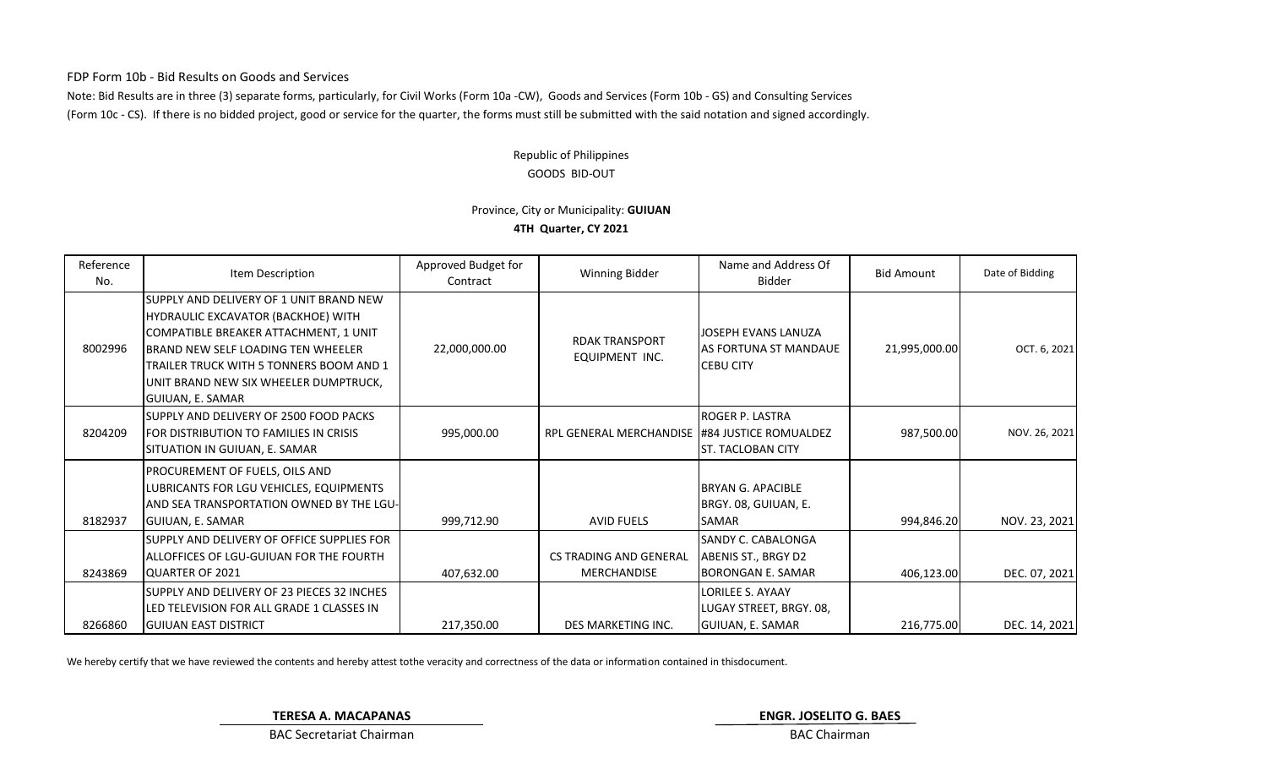FDP Form 10b - Bid Results on Goods and Services

Note: Bid Results are in three (3) separate forms, particularly, for Civil Works (Form 10a -CW), Goods and Services (Form 10b - GS) and Consulting Services (Form 10c - CS). If there is no bidded project, good or service for the quarter, the forms must still be submitted with the said notation and signed accordingly.

### GOODS BID-OUT Republic of Philippines

## Province, City or Municipality: **GUIUAN 4TH Quarter, CY 2021**

| Reference<br>No. | Item Description                                                                                                                                                                                                                                                                    | Approved Budget for<br>Contract | Winning Bidder                                      | Name and Address Of<br><b>Bidder</b>                                   | <b>Bid Amount</b> | Date of Bidding |
|------------------|-------------------------------------------------------------------------------------------------------------------------------------------------------------------------------------------------------------------------------------------------------------------------------------|---------------------------------|-----------------------------------------------------|------------------------------------------------------------------------|-------------------|-----------------|
| 8002996          | SUPPLY AND DELIVERY OF 1 UNIT BRAND NEW<br>HYDRAULIC EXCAVATOR (BACKHOE) WITH<br>COMPATIBLE BREAKER ATTACHMENT, 1 UNIT<br><b>IBRAND NEW SELF LOADING TEN WHEELER</b><br>TRAILER TRUCK WITH 5 TONNERS BOOM AND 1<br>UNIT BRAND NEW SIX WHEELER DUMPTRUCK,<br><b>GUIUAN, E. SAMAR</b> | 22,000,000.00                   | <b>RDAK TRANSPORT</b><br>EQUIPMENT INC.             | JOSEPH EVANS LANUZA<br>IAS FORTUNA ST MANDAUE<br><b>CEBU CITY</b>      | 21,995,000.00     | OCT. 6, 2021    |
| 8204209          | ISUPPLY AND DELIVERY OF 2500 FOOD PACKS<br><b>IFOR DISTRIBUTION TO FAMILIES IN CRISIS</b><br>SITUATION IN GUIUAN, E. SAMAR                                                                                                                                                          | 995,000.00                      | RPL GENERAL MERCHANDISE 1#84 JUSTICE ROMUALDEZ      | ROGER P. LASTRA<br><b>ST. TACLOBAN CITY</b>                            | 987,500.00        | NOV. 26, 2021   |
| 8182937          | PROCUREMENT OF FUELS, OILS AND<br>LUBRICANTS FOR LGU VEHICLES, EQUIPMENTS<br>IAND SEA TRANSPORTATION OWNED BY THE LGU-I<br><b>GUIUAN, E. SAMAR</b>                                                                                                                                  | 999,712.90                      | <b>AVID FUELS</b>                                   | <b>BRYAN G. APACIBLE</b><br>BRGY. 08, GUIUAN, E.<br>SAMAR              | 994,846.20        | NOV. 23, 2021   |
| 8243869          | SUPPLY AND DELIVERY OF OFFICE SUPPLIES FOR<br>ALLOFFICES OF LGU-GUIUAN FOR THE FOURTH<br><b>IQUARTER OF 2021</b>                                                                                                                                                                    | 407,632.00                      | <b>CS TRADING AND GENERAL</b><br><b>MERCHANDISE</b> | <b>SANDY C. CABALONGA</b><br>ABENIS ST., BRGY D2<br>IBORONGAN E. SAMAR | 406,123.00        | DEC. 07, 2021   |
| 8266860          | SUPPLY AND DELIVERY OF 23 PIECES 32 INCHES<br>LED TELEVISION FOR ALL GRADE 1 CLASSES IN<br><b>IGUIUAN EAST DISTRICT</b>                                                                                                                                                             | 217,350.00                      | DES MARKETING INC.                                  | LORILEE S. AYAAY<br>LUGAY STREET, BRGY. 08,<br><b>GUIUAN, E. SAMAR</b> | 216,775.00        | DEC. 14, 2021   |

We hereby certify that we have reviewed the contents and hereby attest tothe veracity and correctness of the data or information contained in thisdocument.

**TERESA A. MACAPANAS ENGR. JOSELITO G. BAES**

BAC Secretariat Chairman BAC Chairman BAC Chairman BAC Chairman BAC Chairman